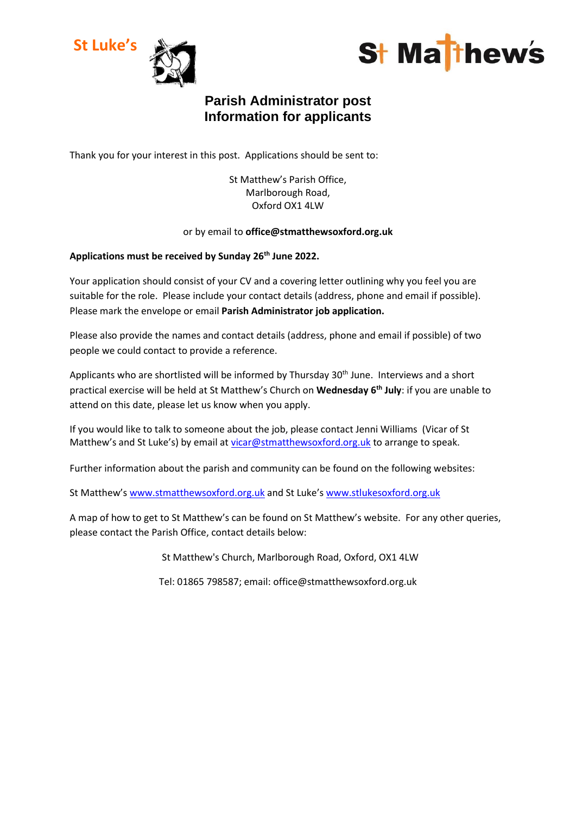



# **Parish Administrator post Information for applicants**

Thank you for your interest in this post. Applications should be sent to:

St Matthew's Parish Office, Marlborough Road, Oxford OX1 4LW

### or by email to **office@stmatthewsoxford.org.uk**

## **Applications must be received by Sunday 26th June 2022.**

Your application should consist of your CV and a covering letter outlining why you feel you are suitable for the role. Please include your contact details (address, phone and email if possible). Please mark the envelope or email **Parish Administrator job application.**

Please also provide the names and contact details (address, phone and email if possible) of two people we could contact to provide a reference.

Applicants who are shortlisted will be informed by Thursday 30<sup>th</sup> June. Interviews and a short practical exercise will be held at St Matthew's Church on **Wednesday 6th July**: if you are unable to attend on this date, please let us know when you apply.

If you would like to talk to someone about the job, please contact Jenni Williams (Vicar of St Matthew's and St Luke's) by email at [vicar@stmatthewsoxford.org.uk](mailto:vicar@stmatthewsoxford.org.uk) to arrange to speak.

Further information about the parish and community can be found on the following websites:

St Matthew's [www.stmatthewsoxford.org.uk](http://www.stmatthewsoxford.org.uk/) and St Luke's [www.stlukesoxford.org.uk](http://www.stlukesoxford.org.uk/)

A map of how to get to St Matthew's can be found on St Matthew's website. For any other queries, please contact the Parish Office, contact details below:

St Matthew's Church, Marlborough Road, Oxford, OX1 4LW

Tel: 01865 798587; email: office@stmatthewsoxford.org.uk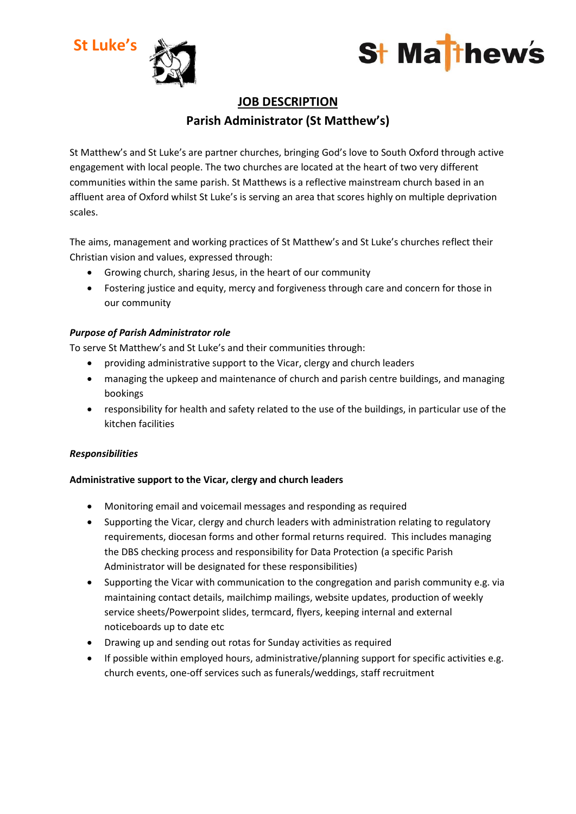



# **JOB DESCRIPTION Parish Administrator (St Matthew's)**

St Matthew's and St Luke's are partner churches, bringing God's love to South Oxford through active engagement with local people. The two churches are located at the heart of two very different communities within the same parish. St Matthews is a reflective mainstream church based in an affluent area of Oxford whilst St Luke's is serving an area that scores highly on multiple deprivation scales.

The aims, management and working practices of St Matthew's and St Luke's churches reflect their Christian vision and values, expressed through:

- Growing church, sharing Jesus, in the heart of our community
- Fostering justice and equity, mercy and forgiveness through care and concern for those in our community

## *Purpose of Parish Administrator role*

To serve St Matthew's and St Luke's and their communities through:

- providing administrative support to the Vicar, clergy and church leaders
- managing the upkeep and maintenance of church and parish centre buildings, and managing bookings
- responsibility for health and safety related to the use of the buildings, in particular use of the kitchen facilities

## *Responsibilities*

## **Administrative support to the Vicar, clergy and church leaders**

- Monitoring email and voicemail messages and responding as required
- Supporting the Vicar, clergy and church leaders with administration relating to regulatory requirements, diocesan forms and other formal returns required. This includes managing the DBS checking process and responsibility for Data Protection (a specific Parish Administrator will be designated for these responsibilities)
- Supporting the Vicar with communication to the congregation and parish community e.g. via maintaining contact details, mailchimp mailings, website updates, production of weekly service sheets/Powerpoint slides, termcard, flyers, keeping internal and external noticeboards up to date etc
- Drawing up and sending out rotas for Sunday activities as required
- If possible within employed hours, administrative/planning support for specific activities e.g. church events, one-off services such as funerals/weddings, staff recruitment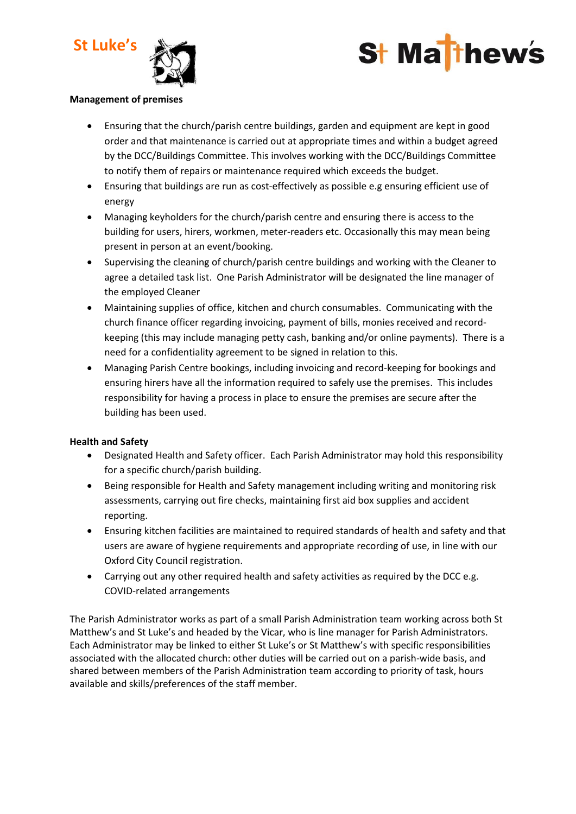



#### **Management of premises**

- Ensuring that the church/parish centre buildings, garden and equipment are kept in good order and that maintenance is carried out at appropriate times and within a budget agreed by the DCC/Buildings Committee. This involves working with the DCC/Buildings Committee to notify them of repairs or maintenance required which exceeds the budget.
- Ensuring that buildings are run as cost-effectively as possible e.g ensuring efficient use of energy
- Managing keyholders for the church/parish centre and ensuring there is access to the building for users, hirers, workmen, meter-readers etc. Occasionally this may mean being present in person at an event/booking.
- Supervising the cleaning of church/parish centre buildings and working with the Cleaner to agree a detailed task list. One Parish Administrator will be designated the line manager of the employed Cleaner
- Maintaining supplies of office, kitchen and church consumables. Communicating with the church finance officer regarding invoicing, payment of bills, monies received and recordkeeping (this may include managing petty cash, banking and/or online payments). There is a need for a confidentiality agreement to be signed in relation to this.
- Managing Parish Centre bookings, including invoicing and record-keeping for bookings and ensuring hirers have all the information required to safely use the premises. This includes responsibility for having a process in place to ensure the premises are secure after the building has been used.

#### **Health and Safety**

- Designated Health and Safety officer. Each Parish Administrator may hold this responsibility for a specific church/parish building.
- Being responsible for Health and Safety management including writing and monitoring risk assessments, carrying out fire checks, maintaining first aid box supplies and accident reporting.
- Ensuring kitchen facilities are maintained to required standards of health and safety and that users are aware of hygiene requirements and appropriate recording of use, in line with our Oxford City Council registration.
- Carrying out any other required health and safety activities as required by the DCC e.g. COVID-related arrangements

The Parish Administrator works as part of a small Parish Administration team working across both St Matthew's and St Luke's and headed by the Vicar, who is line manager for Parish Administrators. Each Administrator may be linked to either St Luke's or St Matthew's with specific responsibilities associated with the allocated church: other duties will be carried out on a parish-wide basis, and shared between members of the Parish Administration team according to priority of task, hours available and skills/preferences of the staff member.